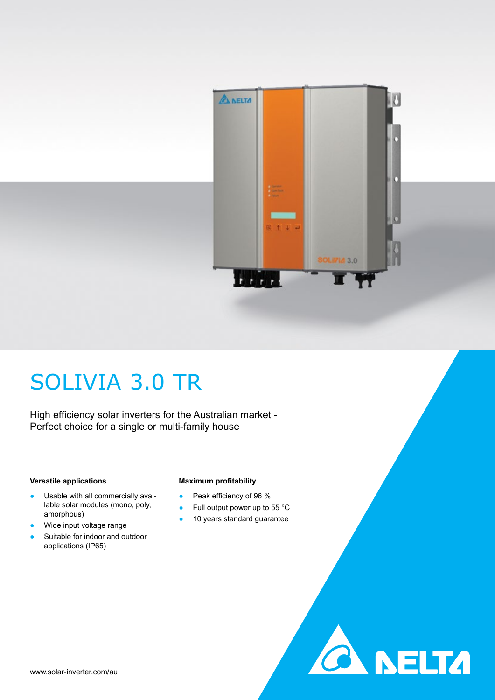

**A DELTA** 

## SOLIVIA 3.0 TR

High efficiency solar inverters for the Australian market - Perfect choice for a single or multi-family house

#### **Versatile applications**

- Usable with all commercially available solar modules (mono, poly, amorphous)
- Wide input voltage range
- Suitable for indoor and outdoor applications (IP65)

#### **Maximum profitability**

- Peak efficiency of 96 %
- Full output power up to 55 °C
- 10 years standard guarantee